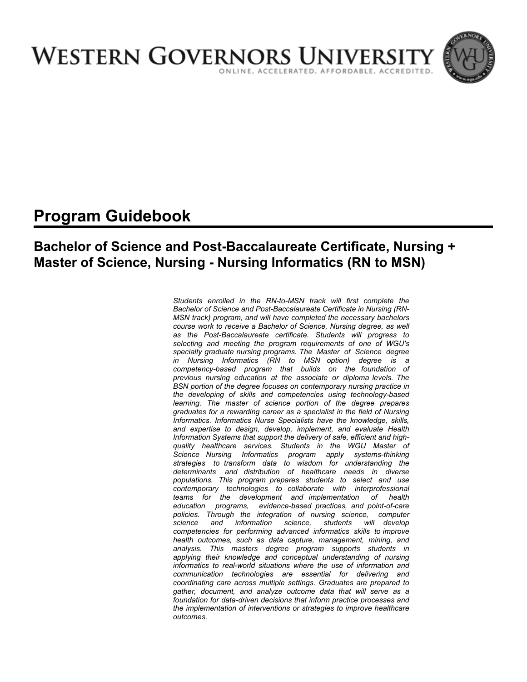

# **Program Guidebook**

# **Bachelor of Science and Post-Baccalaureate Certificate, Nursing + Master of Science, Nursing - Nursing Informatics (RN to MSN)**

*Students enrolled in the RN-to-MSN track will first complete the Bachelor of Science and Post-Baccalaureate Certificate in Nursing (RN-MSN track) program, and will have completed the necessary bachelors course work to receive a Bachelor of Science, Nursing degree, as well as the Post-Baccalaureate certificate. Students will progress to selecting and meeting the program requirements of one of WGU's specialty graduate nursing programs. The Master of Science degree in Nursing Informatics (RN to MSN option) degree is a competency-based program that builds on the foundation of previous nursing education at the associate or diploma levels. The BSN portion of the degree focuses on contemporary nursing practice in the developing of skills and competencies using technology-based learning. The master of science portion of the degree prepares graduates for a rewarding career as a specialist in the field of Nursing Informatics. Informatics Nurse Specialists have the knowledge, skills, and expertise to design, develop, implement, and evaluate Health Information Systems that support the delivery of safe, efficient and highquality healthcare services. Students in the WGU Master of Science Nursing Informatics program apply systems-thinking strategies to transform data to wisdom for understanding the determinants and distribution of healthcare needs in diverse populations. This program prepares students to select and use contemporary technologies to collaborate with interprofessional teams for the development and implementation of health education programs, evidence-based practices, and point-of-care policies. Through the integration of nursing science, computer science and information science, students will develop competencies for performing advanced informatics skills to improve health outcomes, such as data capture, management, mining, and analysis. This masters degree program supports students in applying their knowledge and conceptual understanding of nursing informatics to real-world situations where the use of information and communication technologies are essential for delivering and coordinating care across multiple settings. Graduates are prepared to gather, document, and analyze outcome data that will serve as a foundation for data-driven decisions that inform practice processes and the implementation of interventions or strategies to improve healthcare outcomes.*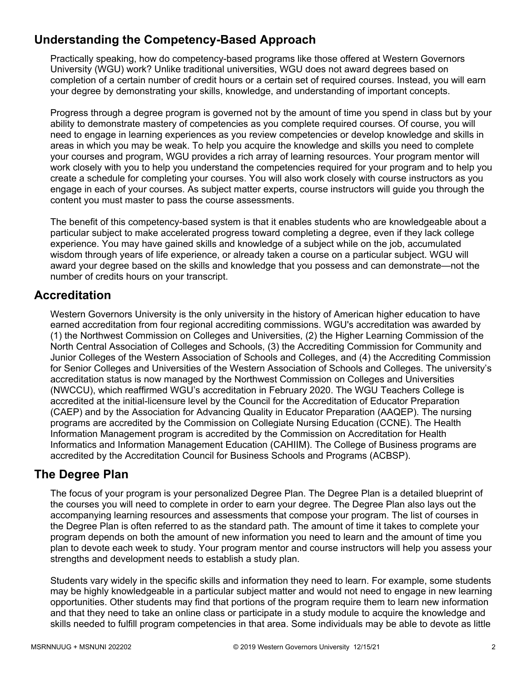# **Understanding the Competency-Based Approach**

Practically speaking, how do competency-based programs like those offered at Western Governors University (WGU) work? Unlike traditional universities, WGU does not award degrees based on completion of a certain number of credit hours or a certain set of required courses. Instead, you will earn your degree by demonstrating your skills, knowledge, and understanding of important concepts.

Progress through a degree program is governed not by the amount of time you spend in class but by your ability to demonstrate mastery of competencies as you complete required courses. Of course, you will need to engage in learning experiences as you review competencies or develop knowledge and skills in areas in which you may be weak. To help you acquire the knowledge and skills you need to complete your courses and program, WGU provides a rich array of learning resources. Your program mentor will work closely with you to help you understand the competencies required for your program and to help you create a schedule for completing your courses. You will also work closely with course instructors as you engage in each of your courses. As subject matter experts, course instructors will guide you through the content you must master to pass the course assessments.

The benefit of this competency-based system is that it enables students who are knowledgeable about a particular subject to make accelerated progress toward completing a degree, even if they lack college experience. You may have gained skills and knowledge of a subject while on the job, accumulated wisdom through years of life experience, or already taken a course on a particular subject. WGU will award your degree based on the skills and knowledge that you possess and can demonstrate—not the number of credits hours on your transcript.

# **Accreditation**

Western Governors University is the only university in the history of American higher education to have earned accreditation from four regional accrediting commissions. WGU's accreditation was awarded by (1) the Northwest Commission on Colleges and Universities, (2) the Higher Learning Commission of the North Central Association of Colleges and Schools, (3) the Accrediting Commission for Community and Junior Colleges of the Western Association of Schools and Colleges, and (4) the Accrediting Commission for Senior Colleges and Universities of the Western Association of Schools and Colleges. The university's accreditation status is now managed by the Northwest Commission on Colleges and Universities (NWCCU), which reaffirmed WGU's accreditation in February 2020. The WGU Teachers College is accredited at the initial-licensure level by the Council for the Accreditation of Educator Preparation (CAEP) and by the Association for Advancing Quality in Educator Preparation (AAQEP). The nursing programs are accredited by the Commission on Collegiate Nursing Education (CCNE). The Health Information Management program is accredited by the Commission on Accreditation for Health Informatics and Information Management Education (CAHIIM). The College of Business programs are accredited by the Accreditation Council for Business Schools and Programs (ACBSP).

# **The Degree Plan**

The focus of your program is your personalized Degree Plan. The Degree Plan is a detailed blueprint of the courses you will need to complete in order to earn your degree. The Degree Plan also lays out the accompanying learning resources and assessments that compose your program. The list of courses in the Degree Plan is often referred to as the standard path. The amount of time it takes to complete your program depends on both the amount of new information you need to learn and the amount of time you plan to devote each week to study. Your program mentor and course instructors will help you assess your strengths and development needs to establish a study plan.

Students vary widely in the specific skills and information they need to learn. For example, some students may be highly knowledgeable in a particular subject matter and would not need to engage in new learning opportunities. Other students may find that portions of the program require them to learn new information and that they need to take an online class or participate in a study module to acquire the knowledge and skills needed to fulfill program competencies in that area. Some individuals may be able to devote as little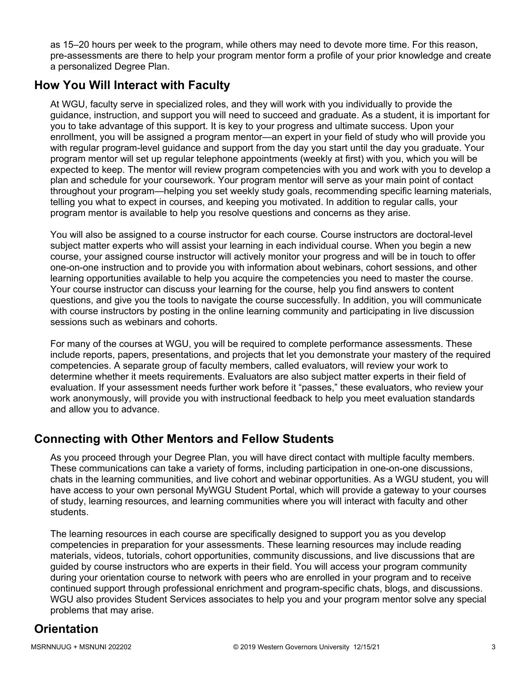as 15–20 hours per week to the program, while others may need to devote more time. For this reason, pre-assessments are there to help your program mentor form a profile of your prior knowledge and create a personalized Degree Plan.

# **How You Will Interact with Faculty**

At WGU, faculty serve in specialized roles, and they will work with you individually to provide the guidance, instruction, and support you will need to succeed and graduate. As a student, it is important for you to take advantage of this support. It is key to your progress and ultimate success. Upon your enrollment, you will be assigned a program mentor—an expert in your field of study who will provide you with regular program-level guidance and support from the day you start until the day you graduate. Your program mentor will set up regular telephone appointments (weekly at first) with you, which you will be expected to keep. The mentor will review program competencies with you and work with you to develop a plan and schedule for your coursework. Your program mentor will serve as your main point of contact throughout your program—helping you set weekly study goals, recommending specific learning materials, telling you what to expect in courses, and keeping you motivated. In addition to regular calls, your program mentor is available to help you resolve questions and concerns as they arise.

You will also be assigned to a course instructor for each course. Course instructors are doctoral-level subject matter experts who will assist your learning in each individual course. When you begin a new course, your assigned course instructor will actively monitor your progress and will be in touch to offer one-on-one instruction and to provide you with information about webinars, cohort sessions, and other learning opportunities available to help you acquire the competencies you need to master the course. Your course instructor can discuss your learning for the course, help you find answers to content questions, and give you the tools to navigate the course successfully. In addition, you will communicate with course instructors by posting in the online learning community and participating in live discussion sessions such as webinars and cohorts.

For many of the courses at WGU, you will be required to complete performance assessments. These include reports, papers, presentations, and projects that let you demonstrate your mastery of the required competencies. A separate group of faculty members, called evaluators, will review your work to determine whether it meets requirements. Evaluators are also subject matter experts in their field of evaluation. If your assessment needs further work before it "passes," these evaluators, who review your work anonymously, will provide you with instructional feedback to help you meet evaluation standards and allow you to advance.

# **Connecting with Other Mentors and Fellow Students**

As you proceed through your Degree Plan, you will have direct contact with multiple faculty members. These communications can take a variety of forms, including participation in one-on-one discussions, chats in the learning communities, and live cohort and webinar opportunities. As a WGU student, you will have access to your own personal MyWGU Student Portal, which will provide a gateway to your courses of study, learning resources, and learning communities where you will interact with faculty and other students.

The learning resources in each course are specifically designed to support you as you develop competencies in preparation for your assessments. These learning resources may include reading materials, videos, tutorials, cohort opportunities, community discussions, and live discussions that are guided by course instructors who are experts in their field. You will access your program community during your orientation course to network with peers who are enrolled in your program and to receive continued support through professional enrichment and program-specific chats, blogs, and discussions. WGU also provides Student Services associates to help you and your program mentor solve any special problems that may arise.

# **Orientation**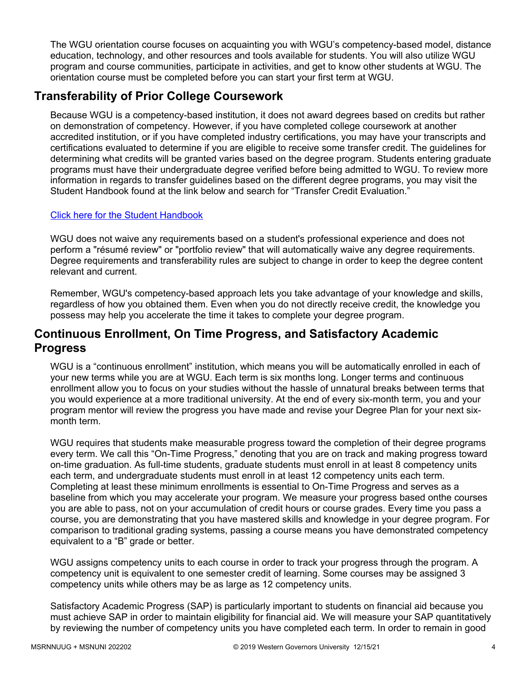The WGU orientation course focuses on acquainting you with WGU's competency-based model, distance education, technology, and other resources and tools available for students. You will also utilize WGU program and course communities, participate in activities, and get to know other students at WGU. The orientation course must be completed before you can start your first term at WGU.

# **Transferability of Prior College Coursework**

Because WGU is a competency-based institution, it does not award degrees based on credits but rather on demonstration of competency. However, if you have completed college coursework at another accredited institution, or if you have completed industry certifications, you may have your transcripts and certifications evaluated to determine if you are eligible to receive some transfer credit. The guidelines for determining what credits will be granted varies based on the degree program. Students entering graduate programs must have their undergraduate degree verified before being admitted to WGU. To review more information in regards to transfer guidelines based on the different degree programs, you may visit the Student Handbook found at the link below and search for "Transfer Credit Evaluation."

## [Click here for the Student Handbook](http://cm.wgu.edu/)

WGU does not waive any requirements based on a student's professional experience and does not perform a "résumé review" or "portfolio review" that will automatically waive any degree requirements. Degree requirements and transferability rules are subject to change in order to keep the degree content relevant and current.

Remember, WGU's competency-based approach lets you take advantage of your knowledge and skills, regardless of how you obtained them. Even when you do not directly receive credit, the knowledge you possess may help you accelerate the time it takes to complete your degree program.

# **Continuous Enrollment, On Time Progress, and Satisfactory Academic Progress**

WGU is a "continuous enrollment" institution, which means you will be automatically enrolled in each of your new terms while you are at WGU. Each term is six months long. Longer terms and continuous enrollment allow you to focus on your studies without the hassle of unnatural breaks between terms that you would experience at a more traditional university. At the end of every six-month term, you and your program mentor will review the progress you have made and revise your Degree Plan for your next sixmonth term.

WGU requires that students make measurable progress toward the completion of their degree programs every term. We call this "On-Time Progress," denoting that you are on track and making progress toward on-time graduation. As full-time students, graduate students must enroll in at least 8 competency units each term, and undergraduate students must enroll in at least 12 competency units each term. Completing at least these minimum enrollments is essential to On-Time Progress and serves as a baseline from which you may accelerate your program. We measure your progress based onthe courses you are able to pass, not on your accumulation of credit hours or course grades. Every time you pass a course, you are demonstrating that you have mastered skills and knowledge in your degree program. For comparison to traditional grading systems, passing a course means you have demonstrated competency equivalent to a "B" grade or better.

WGU assigns competency units to each course in order to track your progress through the program. A competency unit is equivalent to one semester credit of learning. Some courses may be assigned 3 competency units while others may be as large as 12 competency units.

Satisfactory Academic Progress (SAP) is particularly important to students on financial aid because you must achieve SAP in order to maintain eligibility for financial aid. We will measure your SAP quantitatively by reviewing the number of competency units you have completed each term. In order to remain in good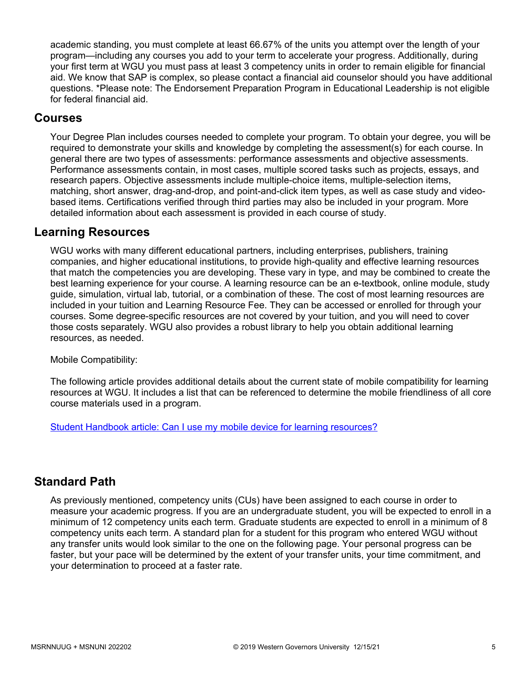academic standing, you must complete at least 66.67% of the units you attempt over the length of your program—including any courses you add to your term to accelerate your progress. Additionally, during your first term at WGU you must pass at least 3 competency units in order to remain eligible for financial aid. We know that SAP is complex, so please contact a financial aid counselor should you have additional questions. \*Please note: The Endorsement Preparation Program in Educational Leadership is not eligible for federal financial aid.

# **Courses**

Your Degree Plan includes courses needed to complete your program. To obtain your degree, you will be required to demonstrate your skills and knowledge by completing the assessment(s) for each course. In general there are two types of assessments: performance assessments and objective assessments. Performance assessments contain, in most cases, multiple scored tasks such as projects, essays, and research papers. Objective assessments include multiple-choice items, multiple-selection items, matching, short answer, drag-and-drop, and point-and-click item types, as well as case study and videobased items. Certifications verified through third parties may also be included in your program. More detailed information about each assessment is provided in each course of study.

# **Learning Resources**

WGU works with many different educational partners, including enterprises, publishers, training companies, and higher educational institutions, to provide high-quality and effective learning resources that match the competencies you are developing. These vary in type, and may be combined to create the best learning experience for your course. A learning resource can be an e-textbook, online module, study guide, simulation, virtual lab, tutorial, or a combination of these. The cost of most learning resources are included in your tuition and Learning Resource Fee. They can be accessed or enrolled for through your courses. Some degree-specific resources are not covered by your tuition, and you will need to cover those costs separately. WGU also provides a robust library to help you obtain additional learning resources, as needed.

Mobile Compatibility:

The following article provides additional details about the current state of mobile compatibility for learning resources at WGU. It includes a list that can be referenced to determine the mobile friendliness of all core course materials used in a program.

[Student Handbook article: Can I use my mobile device for learning resources?](https://cm.wgu.edu/t5/Frequently-Asked-Questions/Can-I-use-my-mobile-device-for-learning-resources/ta-p/396)

# **Standard Path**

As previously mentioned, competency units (CUs) have been assigned to each course in order to measure your academic progress. If you are an undergraduate student, you will be expected to enroll in a minimum of 12 competency units each term. Graduate students are expected to enroll in a minimum of 8 competency units each term. A standard plan for a student for this program who entered WGU without any transfer units would look similar to the one on the following page. Your personal progress can be faster, but your pace will be determined by the extent of your transfer units, your time commitment, and your determination to proceed at a faster rate.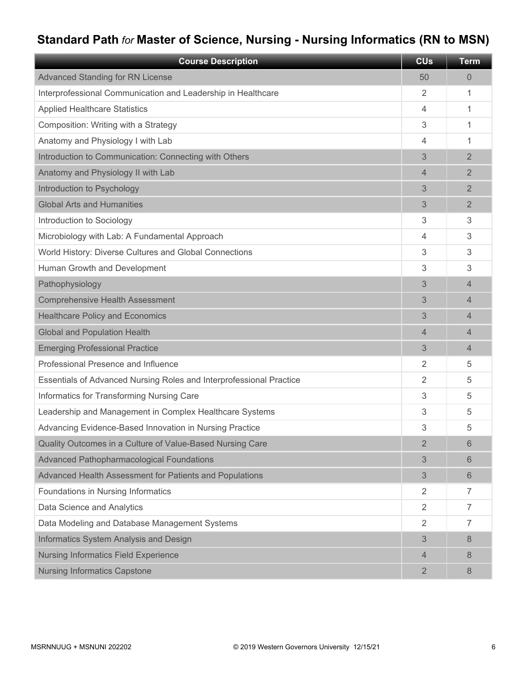# **Standard Path** *for* **Master of Science, Nursing - Nursing Informatics (RN to MSN)**

| <b>Course Description</b>                                           | <b>CU<sub>s</sub></b> | <b>Term</b>    |
|---------------------------------------------------------------------|-----------------------|----------------|
| <b>Advanced Standing for RN License</b>                             | 50                    | 0              |
| Interprofessional Communication and Leadership in Healthcare        | 2                     | 1              |
| <b>Applied Healthcare Statistics</b>                                | 4                     | 1              |
| Composition: Writing with a Strategy                                | 3                     | 1              |
| Anatomy and Physiology I with Lab                                   | 4                     | 1              |
| Introduction to Communication: Connecting with Others               | 3                     | $\overline{2}$ |
| Anatomy and Physiology II with Lab                                  | 4                     | $\overline{2}$ |
| Introduction to Psychology                                          | 3                     | $\overline{2}$ |
| <b>Global Arts and Humanities</b>                                   | 3                     | $\overline{2}$ |
| Introduction to Sociology                                           | 3                     | 3              |
| Microbiology with Lab: A Fundamental Approach                       | 4                     | 3              |
| World History: Diverse Cultures and Global Connections              | 3                     | 3              |
| Human Growth and Development                                        | 3                     | 3              |
| Pathophysiology                                                     | 3                     | 4              |
| <b>Comprehensive Health Assessment</b>                              | 3                     | 4              |
| <b>Healthcare Policy and Economics</b>                              | 3                     | 4              |
| <b>Global and Population Health</b>                                 | 4                     | 4              |
| <b>Emerging Professional Practice</b>                               | 3                     | $\overline{4}$ |
| Professional Presence and Influence                                 | 2                     | 5              |
| Essentials of Advanced Nursing Roles and Interprofessional Practice | 2                     | 5              |
| Informatics for Transforming Nursing Care                           | 3                     | 5              |
| Leadership and Management in Complex Healthcare Systems             | 3                     | 5              |
| Advancing Evidence-Based Innovation in Nursing Practice             | 3                     | 5              |
| Quality Outcomes in a Culture of Value-Based Nursing Care           | $\overline{2}$        | 6              |
| Advanced Pathopharmacological Foundations                           | 3                     | 6              |
| Advanced Health Assessment for Patients and Populations             | 3                     | 6              |
| Foundations in Nursing Informatics                                  | $\overline{2}$        | $\overline{7}$ |
| Data Science and Analytics                                          | 2                     | 7              |
| Data Modeling and Database Management Systems                       | 2                     | 7              |
| Informatics System Analysis and Design                              | 3                     | 8              |
| <b>Nursing Informatics Field Experience</b>                         | 4                     | 8              |
| <b>Nursing Informatics Capstone</b>                                 | $\overline{2}$        | 8              |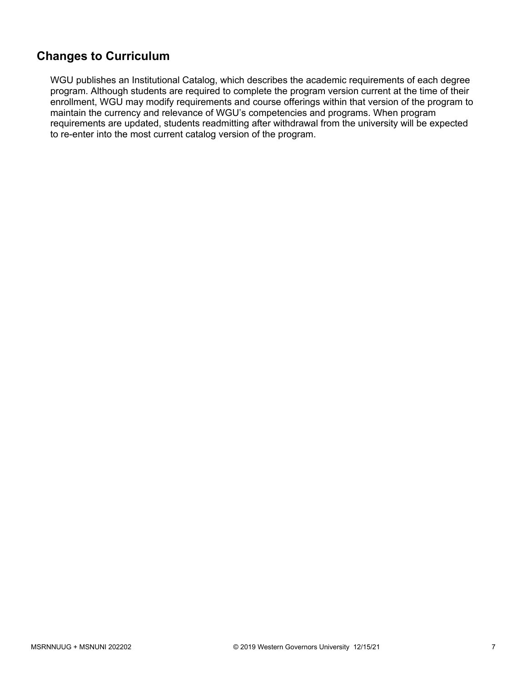# **Changes to Curriculum**

WGU publishes an Institutional Catalog, which describes the academic requirements of each degree program. Although students are required to complete the program version current at the time of their enrollment, WGU may modify requirements and course offerings within that version of the program to maintain the currency and relevance of WGU's competencies and programs. When program requirements are updated, students readmitting after withdrawal from the university will be expected to re-enter into the most current catalog version of the program.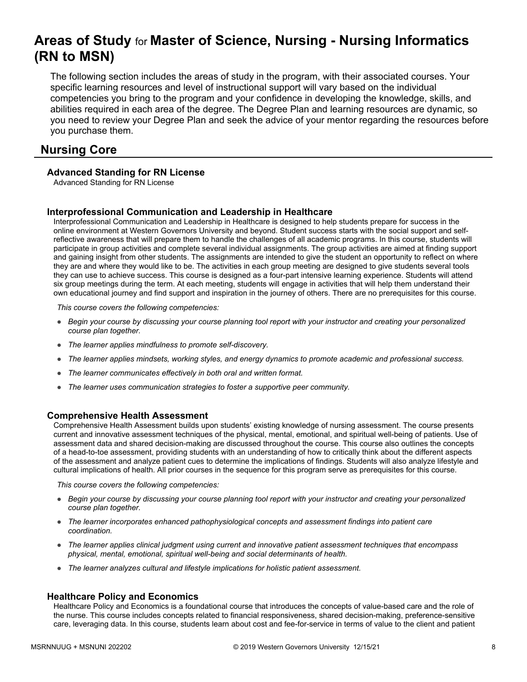# **Areas of Study** for **Master of Science, Nursing - Nursing Informatics (RN to MSN)**

The following section includes the areas of study in the program, with their associated courses. Your specific learning resources and level of instructional support will vary based on the individual competencies you bring to the program and your confidence in developing the knowledge, skills, and abilities required in each area of the degree. The Degree Plan and learning resources are dynamic, so you need to review your Degree Plan and seek the advice of your mentor regarding the resources before you purchase them.

# **Nursing Core**

## **Advanced Standing for RN License**

Advanced Standing for RN License

## **Interprofessional Communication and Leadership in Healthcare**

Interprofessional Communication and Leadership in Healthcare is designed to help students prepare for success in the online environment at Western Governors University and beyond. Student success starts with the social support and selfreflective awareness that will prepare them to handle the challenges of all academic programs. In this course, students will participate in group activities and complete several individual assignments. The group activities are aimed at finding support and gaining insight from other students. The assignments are intended to give the student an opportunity to reflect on where they are and where they would like to be. The activities in each group meeting are designed to give students several tools they can use to achieve success. This course is designed as a four-part intensive learning experience. Students will attend six group meetings during the term. At each meeting, students will engage in activities that will help them understand their own educational journey and find support and inspiration in the journey of others. There are no prerequisites for this course.

*This course covers the following competencies:*

- *Begin your course by discussing your course planning tool report with your instructor and creating your personalized course plan together.*
- *The learner applies mindfulness to promote self-discovery.*
- *The learner applies mindsets, working styles, and energy dynamics to promote academic and professional success.*
- *The learner communicates effectively in both oral and written format.*
- *The learner uses communication strategies to foster a supportive peer community.*

### **Comprehensive Health Assessment**

Comprehensive Health Assessment builds upon students' existing knowledge of nursing assessment. The course presents current and innovative assessment techniques of the physical, mental, emotional, and spiritual well-being of patients. Use of assessment data and shared decision-making are discussed throughout the course. This course also outlines the concepts of a head-to-toe assessment, providing students with an understanding of how to critically think about the different aspects of the assessment and analyze patient cues to determine the implications of findings. Students will also analyze lifestyle and cultural implications of health. All prior courses in the sequence for this program serve as prerequisites for this course.

*This course covers the following competencies:*

- *Begin your course by discussing your course planning tool report with your instructor and creating your personalized course plan together.*
- *The learner incorporates enhanced pathophysiological concepts and assessment findings into patient care coordination.*
- *The learner applies clinical judgment using current and innovative patient assessment techniques that encompass physical, mental, emotional, spiritual well-being and social determinants of health.*
- *The learner analyzes cultural and lifestyle implications for holistic patient assessment.*

### **Healthcare Policy and Economics**

Healthcare Policy and Economics is a foundational course that introduces the concepts of value-based care and the role of the nurse. This course includes concepts related to financial responsiveness, shared decision-making, preference-sensitive care, leveraging data. In this course, students learn about cost and fee-for-service in terms of value to the client and patient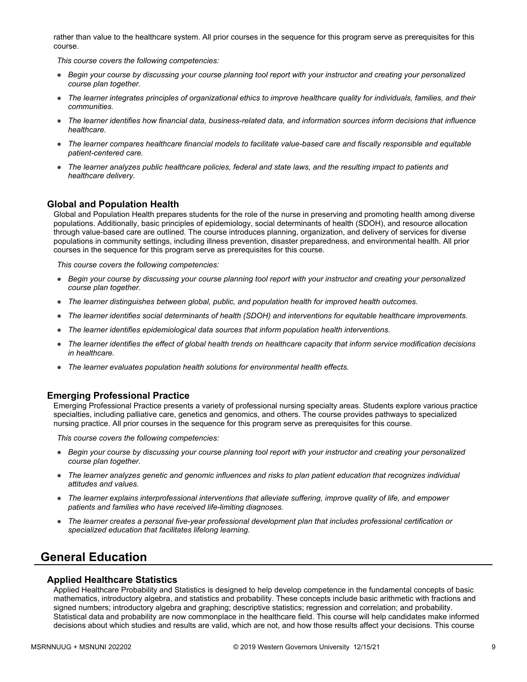rather than value to the healthcare system. All prior courses in the sequence for this program serve as prerequisites for this course.

*This course covers the following competencies:*

- *Begin your course by discussing your course planning tool report with your instructor and creating your personalized course plan together.*
- *The learner integrates principles of organizational ethics to improve healthcare quality for individuals, families, and their communities.*
- *The learner identifies how financial data, business-related data, and information sources inform decisions that influence healthcare.*
- *The learner compares healthcare financial models to facilitate value-based care and fiscally responsible and equitable patient-centered care.*
- *The learner analyzes public healthcare policies, federal and state laws, and the resulting impact to patients and healthcare delivery.*

### **Global and Population Health**

Global and Population Health prepares students for the role of the nurse in preserving and promoting health among diverse populations. Additionally, basic principles of epidemiology, social determinants of health (SDOH), and resource allocation through value-based care are outlined. The course introduces planning, organization, and delivery of services for diverse populations in community settings, including illness prevention, disaster preparedness, and environmental health. All prior courses in the sequence for this program serve as prerequisites for this course.

*This course covers the following competencies:*

- *Begin your course by discussing your course planning tool report with your instructor and creating your personalized course plan together.*
- *The learner distinguishes between global, public, and population health for improved health outcomes.*
- *The learner identifies social determinants of health (SDOH) and interventions for equitable healthcare improvements.*
- *The learner identifies epidemiological data sources that inform population health interventions.*
- *The learner identifies the effect of global health trends on healthcare capacity that inform service modification decisions in healthcare.*
- *The learner evaluates population health solutions for environmental health effects.*

#### **Emerging Professional Practice**

Emerging Professional Practice presents a variety of professional nursing specialty areas. Students explore various practice specialties, including palliative care, genetics and genomics, and others. The course provides pathways to specialized nursing practice. All prior courses in the sequence for this program serve as prerequisites for this course.

*This course covers the following competencies:*

- *Begin your course by discussing your course planning tool report with your instructor and creating your personalized course plan together.*
- *The learner analyzes genetic and genomic influences and risks to plan patient education that recognizes individual attitudes and values.*
- *The learner explains interprofessional interventions that alleviate suffering, improve quality of life, and empower patients and families who have received life-limiting diagnoses.*
- *The learner creates a personal five-year professional development plan that includes professional certification or specialized education that facilitates lifelong learning.*

# **General Education**

#### **Applied Healthcare Statistics**

Applied Healthcare Probability and Statistics is designed to help develop competence in the fundamental concepts of basic mathematics, introductory algebra, and statistics and probability. These concepts include basic arithmetic with fractions and signed numbers; introductory algebra and graphing; descriptive statistics; regression and correlation; and probability. Statistical data and probability are now commonplace in the healthcare field. This course will help candidates make informed decisions about which studies and results are valid, which are not, and how those results affect your decisions. This course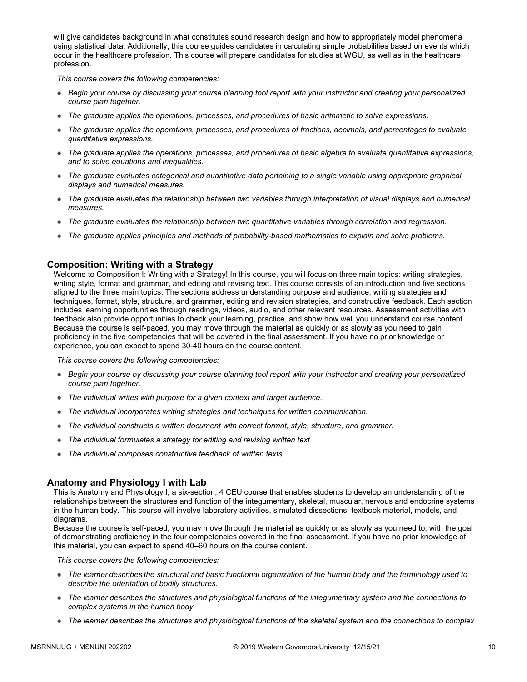will give candidates background in what constitutes sound research design and how to appropriately model phenomena using statistical data. Additionally, this course guides candidates in calculating simple probabilities based on events which occur in the healthcare profession. This course will prepare candidates for studies at WGU, as well as in the healthcare profession.

*This course covers the following competencies:*

- *Begin your course by discussing your course planning tool report with your instructor and creating your personalized course plan together.*
- *The graduate applies the operations, processes, and procedures of basic arithmetic to solve expressions.*
- *The graduate applies the operations, processes, and procedures of fractions, decimals, and percentages to evaluate quantitative expressions.*
- *The graduate applies the operations, processes, and procedures of basic algebra to evaluate quantitative expressions, and to solve equations and inequalities.*
- *The graduate evaluates categorical and quantitative data pertaining to a single variable using appropriate graphical displays and numerical measures.*
- *The graduate evaluates the relationship between two variables through interpretation of visual displays and numerical measures.*
- *The graduate evaluates the relationship between two quantitative variables through correlation and regression.*
- *The graduate applies principles and methods of probability-based mathematics to explain and solve problems.*

### **Composition: Writing with a Strategy**

Welcome to Composition I: Writing with a Strategy! In this course, you will focus on three main topics: writing strategies, writing style, format and grammar, and editing and revising text. This course consists of an introduction and five sections aligned to the three main topics. The sections address understanding purpose and audience, writing strategies and techniques, format, style, structure, and grammar, editing and revision strategies, and constructive feedback. Each section includes learning opportunities through readings, videos, audio, and other relevant resources. Assessment activities with feedback also provide opportunities to check your learning, practice, and show how well you understand course content. Because the course is self-paced, you may move through the material as quickly or as slowly as you need to gain proficiency in the five competencies that will be covered in the final assessment. If you have no prior knowledge or experience, you can expect to spend 30-40 hours on the course content.

*This course covers the following competencies:*

- *Begin your course by discussing your course planning tool report with your instructor and creating your personalized course plan together.*
- *The individual writes with purpose for a given context and target audience.*
- *The individual incorporates writing strategies and techniques for written communication.*
- *The individual constructs a written document with correct format, style, structure, and grammar.*
- *The individual formulates a strategy for editing and revising written text*
- *The individual composes constructive feedback of written texts.*

### **Anatomy and Physiology I with Lab**

This is Anatomy and Physiology I, a six-section, 4 CEU course that enables students to develop an understanding of the relationships between the structures and function of the integumentary, skeletal, muscular, nervous and endocrine systems in the human body. This course will involve laboratory activities, simulated dissections, textbook material, models, and diagrams.

Because the course is self-paced, you may move through the material as quickly or as slowly as you need to, with the goal of demonstrating proficiency in the four competencies covered in the final assessment. If you have no prior knowledge of this material, you can expect to spend 40–60 hours on the course content.

*This course covers the following competencies:*

- The learner describes the structural and basic functional organization of the human body and the terminology used to *describe the orientation of bodily structures.*
- *The learner describes the structures and physiological functions of the integumentary system and the connections to complex systems in the human body.*
- *The learner describes the structures and physiological functions of the skeletal system and the connections to complex*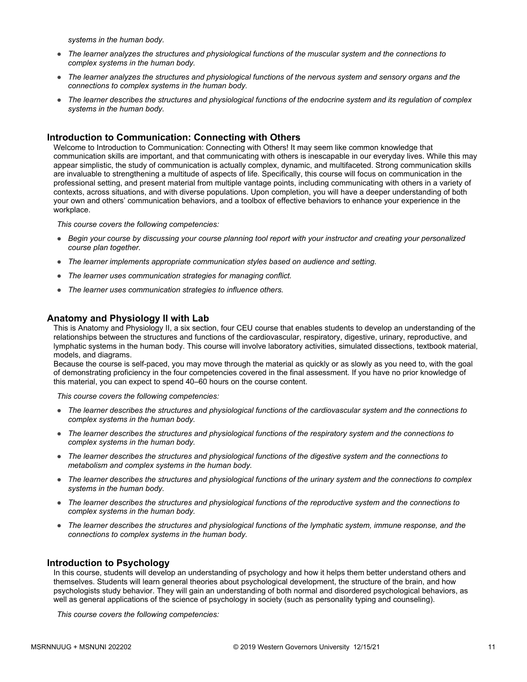*systems in the human body.*

- *The learner analyzes the structures and physiological functions of the muscular system and the connections to complex systems in the human body.*
- *The learner analyzes the structures and physiological functions of the nervous system and sensory organs and the connections to complex systems in the human body.*
- *The learner describes the structures and physiological functions of the endocrine system and its regulation of complex systems in the human body.*

### **Introduction to Communication: Connecting with Others**

Welcome to Introduction to Communication: Connecting with Others! It may seem like common knowledge that communication skills are important, and that communicating with others is inescapable in our everyday lives. While this may appear simplistic, the study of communication is actually complex, dynamic, and multifaceted. Strong communication skills are invaluable to strengthening a multitude of aspects of life. Specifically, this course will focus on communication in the professional setting, and present material from multiple vantage points, including communicating with others in a variety of contexts, across situations, and with diverse populations. Upon completion, you will have a deeper understanding of both your own and others' communication behaviors, and a toolbox of effective behaviors to enhance your experience in the workplace.

*This course covers the following competencies:*

- *Begin your course by discussing your course planning tool report with your instructor and creating your personalized course plan together.*
- *The learner implements appropriate communication styles based on audience and setting.*
- *The learner uses communication strategies for managing conflict.*
- *The learner uses communication strategies to influence others.*

#### **Anatomy and Physiology II with Lab**

This is Anatomy and Physiology II, a six section, four CEU course that enables students to develop an understanding of the relationships between the structures and functions of the cardiovascular, respiratory, digestive, urinary, reproductive, and lymphatic systems in the human body. This course will involve laboratory activities, simulated dissections, textbook material, models, and diagrams.

Because the course is self-paced, you may move through the material as quickly or as slowly as you need to, with the goal of demonstrating proficiency in the four competencies covered in the final assessment. If you have no prior knowledge of this material, you can expect to spend 40–60 hours on the course content.

*This course covers the following competencies:*

- *The learner describes the structures and physiological functions of the cardiovascular system and the connections to complex systems in the human body.*
- *The learner describes the structures and physiological functions of the respiratory system and the connections to complex systems in the human body.*
- *The learner describes the structures and physiological functions of the digestive system and the connections to metabolism and complex systems in the human body.*
- *The learner describes the structures and physiological functions of the urinary system and the connections to complex systems in the human body.*
- *The learner describes the structures and physiological functions of the reproductive system and the connections to complex systems in the human body.*
- *The learner describes the structures and physiological functions of the lymphatic system, immune response, and the connections to complex systems in the human body.*

#### **Introduction to Psychology**

In this course, students will develop an understanding of psychology and how it helps them better understand others and themselves. Students will learn general theories about psychological development, the structure of the brain, and how psychologists study behavior. They will gain an understanding of both normal and disordered psychological behaviors, as well as general applications of the science of psychology in society (such as personality typing and counseling).

*This course covers the following competencies:*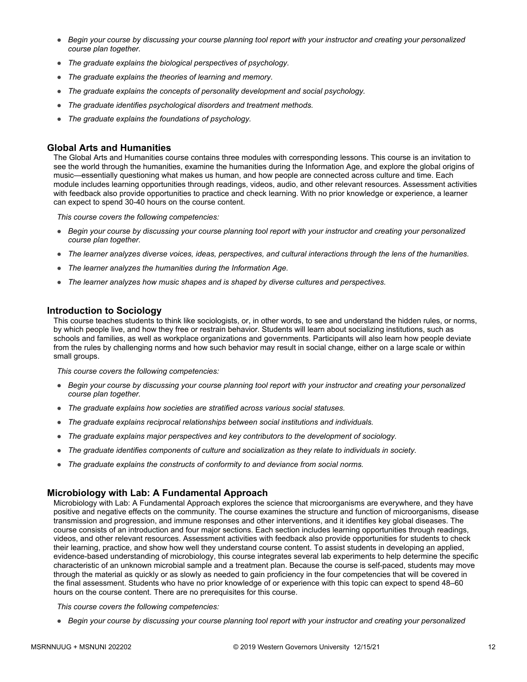- *Begin your course by discussing your course planning tool report with your instructor and creating your personalized course plan together.*
- *The graduate explains the biological perspectives of psychology.*
- *The graduate explains the theories of learning and memory.*
- *The graduate explains the concepts of personality development and social psychology.*
- *The graduate identifies psychological disorders and treatment methods.*
- *The graduate explains the foundations of psychology.*

### **Global Arts and Humanities**

The Global Arts and Humanities course contains three modules with corresponding lessons. This course is an invitation to see the world through the humanities, examine the humanities during the Information Age, and explore the global origins of music—essentially questioning what makes us human, and how people are connected across culture and time. Each module includes learning opportunities through readings, videos, audio, and other relevant resources. Assessment activities with feedback also provide opportunities to practice and check learning. With no prior knowledge or experience, a learner can expect to spend 30-40 hours on the course content.

*This course covers the following competencies:*

- *Begin your course by discussing your course planning tool report with your instructor and creating your personalized course plan together.*
- *The learner analyzes diverse voices, ideas, perspectives, and cultural interactions through the lens of the humanities.*
- *The learner analyzes the humanities during the Information Age.*
- *The learner analyzes how music shapes and is shaped by diverse cultures and perspectives.*

#### **Introduction to Sociology**

This course teaches students to think like sociologists, or, in other words, to see and understand the hidden rules, or norms, by which people live, and how they free or restrain behavior. Students will learn about socializing institutions, such as schools and families, as well as workplace organizations and governments. Participants will also learn how people deviate from the rules by challenging norms and how such behavior may result in social change, either on a large scale or within small groups.

*This course covers the following competencies:*

- *Begin your course by discussing your course planning tool report with your instructor and creating your personalized course plan together.*
- *The graduate explains how societies are stratified across various social statuses.*
- *The graduate explains reciprocal relationships between social institutions and individuals.*
- *The graduate explains major perspectives and key contributors to the development of sociology.*
- *The graduate identifies components of culture and socialization as they relate to individuals in society.*
- *The graduate explains the constructs of conformity to and deviance from social norms.*

### **Microbiology with Lab: A Fundamental Approach**

Microbiology with Lab: A Fundamental Approach explores the science that microorganisms are everywhere, and they have positive and negative effects on the community. The course examines the structure and function of microorganisms, disease transmission and progression, and immune responses and other interventions, and it identifies key global diseases. The course consists of an introduction and four major sections. Each section includes learning opportunities through readings, videos, and other relevant resources. Assessment activities with feedback also provide opportunities for students to check their learning, practice, and show how well they understand course content. To assist students in developing an applied, evidence-based understanding of microbiology, this course integrates several lab experiments to help determine the specific characteristic of an unknown microbial sample and a treatment plan. Because the course is self-paced, students may move through the material as quickly or as slowly as needed to gain proficiency in the four competencies that will be covered in the final assessment. Students who have no prior knowledge of or experience with this topic can expect to spend 48–60 hours on the course content. There are no prerequisites for this course.

*This course covers the following competencies:*

● *Begin your course by discussing your course planning tool report with your instructor and creating your personalized*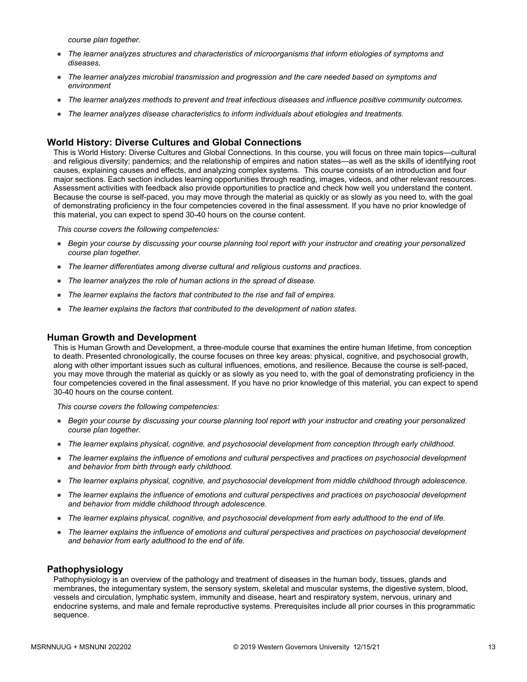*course plan together.*

- *The learner analyzes structures and characteristics of microorganisms that inform etiologies of symptoms and diseases.*
- *The learner analyzes microbial transmission and progression and the care needed based on symptoms and environment*
- *The learner analyzes methods to prevent and treat infectious diseases and influence positive community outcomes.*
- *The learner analyzes disease characteristics to inform individuals about etiologies and treatments.*

## **World History: Diverse Cultures and Global Connections**

This is World History: Diverse Cultures and Global Connections. In this course, you will focus on three main topics—cultural and religious diversity; pandemics; and the relationship of empires and nation states—as well as the skills of identifying root causes, explaining causes and effects, and analyzing complex systems. This course consists of an introduction and four major sections. Each section includes learning opportunities through reading, images, videos, and other relevant resources. Assessment activities with feedback also provide opportunities to practice and check how well you understand the content. Because the course is self-paced, you may move through the material as quickly or as slowly as you need to, with the goal of demonstrating proficiency in the four competencies covered in the final assessment. If you have no prior knowledge of this material, you can expect to spend 30-40 hours on the course content.

*This course covers the following competencies:*

- *Begin your course by discussing your course planning tool report with your instructor and creating your personalized course plan together.*
- *The learner differentiates among diverse cultural and religious customs and practices.*
- *The learner analyzes the role of human actions in the spread of disease.*
- *The learner explains the factors that contributed to the rise and fall of empires.*
- *The learner explains the factors that contributed to the development of nation states.*

### **Human Growth and Development**

This is Human Growth and Development, a three-module course that examines the entire human lifetime, from conception to death. Presented chronologically, the course focuses on three key areas: physical, cognitive, and psychosocial growth, along with other important issues such as cultural influences, emotions, and resilience. Because the course is self-paced, you may move through the material as quickly or as slowly as you need to, with the goal of demonstrating proficiency in the four competencies covered in the final assessment. If you have no prior knowledge of this material, you can expect to spend 30-40 hours on the course content.

*This course covers the following competencies:*

- *Begin your course by discussing your course planning tool report with your instructor and creating your personalized course plan together.*
- *The learner explains physical, cognitive, and psychosocial development from conception through early childhood.*
- *The learner explains the influence of emotions and cultural perspectives and practices on psychosocial development and behavior from birth through early childhood.*
- *The learner explains physical, cognitive, and psychosocial development from middle childhood through adolescence.*
- *The learner explains the influence of emotions and cultural perspectives and practices on psychosocial development and behavior from middle childhood through adolescence.*
- *The learner explains physical, cognitive, and psychosocial development from early adulthood to the end of life.*
- *The learner explains the influence of emotions and cultural perspectives and practices on psychosocial development and behavior from early adulthood to the end of life.*

### **Pathophysiology**

Pathophysiology is an overview of the pathology and treatment of diseases in the human body, tissues, glands and membranes, the integumentary system, the sensory system, skeletal and muscular systems, the digestive system, blood, vessels and circulation, lymphatic system, immunity and disease, heart and respiratory system, nervous, urinary and endocrine systems, and male and female reproductive systems. Prerequisites include all prior courses in this programmatic sequence.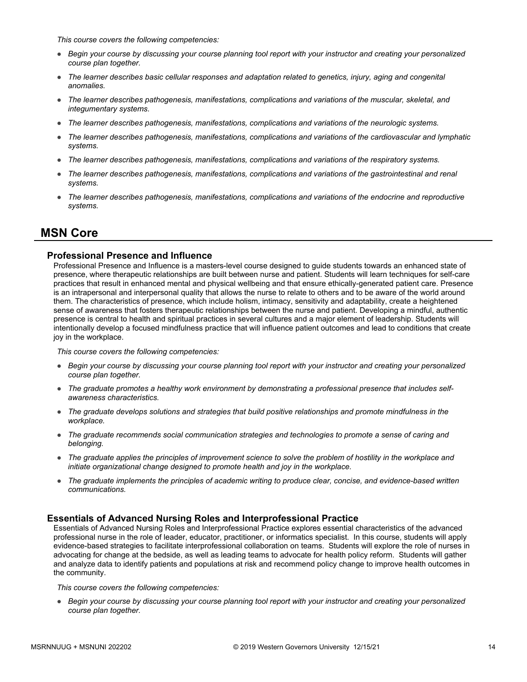*This course covers the following competencies:*

- *Begin your course by discussing your course planning tool report with your instructor and creating your personalized course plan together.*
- *The learner describes basic cellular responses and adaptation related to genetics, injury, aging and congenital anomalies.*
- *The learner describes pathogenesis, manifestations, complications and variations of the muscular, skeletal, and integumentary systems.*
- *The learner describes pathogenesis, manifestations, complications and variations of the neurologic systems.*
- *The learner describes pathogenesis, manifestations, complications and variations of the cardiovascular and lymphatic systems.*
- *The learner describes pathogenesis, manifestations, complications and variations of the respiratory systems.*
- *The learner describes pathogenesis, manifestations, complications and variations of the gastrointestinal and renal systems.*
- *The learner describes pathogenesis, manifestations, complications and variations of the endocrine and reproductive systems.*

# **MSN Core**

### **Professional Presence and Influence**

Professional Presence and Influence is a masters-level course designed to guide students towards an enhanced state of presence, where therapeutic relationships are built between nurse and patient. Students will learn techniques for self-care practices that result in enhanced mental and physical wellbeing and that ensure ethically-generated patient care. Presence is an intrapersonal and interpersonal quality that allows the nurse to relate to others and to be aware of the world around them. The characteristics of presence, which include holism, intimacy, sensitivity and adaptability, create a heightened sense of awareness that fosters therapeutic relationships between the nurse and patient. Developing a mindful, authentic presence is central to health and spiritual practices in several cultures and a major element of leadership. Students will intentionally develop a focused mindfulness practice that will influence patient outcomes and lead to conditions that create joy in the workplace.

*This course covers the following competencies:*

- *Begin your course by discussing your course planning tool report with your instructor and creating your personalized course plan together.*
- *The graduate promotes a healthy work environment by demonstrating a professional presence that includes selfawareness characteristics.*
- *The graduate develops solutions and strategies that build positive relationships and promote mindfulness in the workplace.*
- *The graduate recommends social communication strategies and technologies to promote a sense of caring and belonging.*
- *The graduate applies the principles of improvement science to solve the problem of hostility in the workplace and initiate organizational change designed to promote health and joy in the workplace.*
- *The graduate implements the principles of academic writing to produce clear, concise, and evidence-based written communications.*

### **Essentials of Advanced Nursing Roles and Interprofessional Practice**

Essentials of Advanced Nursing Roles and Interprofessional Practice explores essential characteristics of the advanced professional nurse in the role of leader, educator, practitioner, or informatics specialist. In this course, students will apply evidence-based strategies to facilitate interprofessional collaboration on teams. Students will explore the role of nurses in advocating for change at the bedside, as well as leading teams to advocate for health policy reform. Students will gather and analyze data to identify patients and populations at risk and recommend policy change to improve health outcomes in the community.

*This course covers the following competencies:*

● *Begin your course by discussing your course planning tool report with your instructor and creating your personalized course plan together.*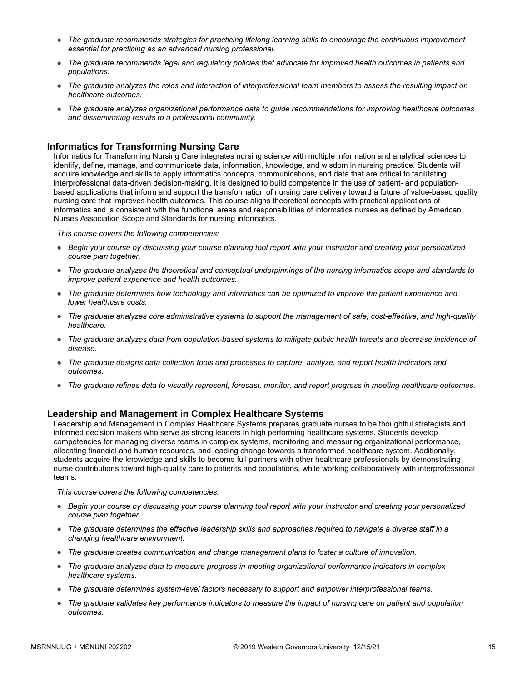- *The graduate recommends strategies for practicing lifelong learning skills to encourage the continuous improvement essential for practicing as an advanced nursing professional.*
- *The graduate recommends legal and regulatory policies that advocate for improved health outcomes in patients and populations.*
- *The graduate analyzes the roles and interaction of interprofessional team members to assess the resulting impact on healthcare outcomes.*
- *The graduate analyzes organizational performance data to guide recommendations for improving healthcare outcomes and disseminating results to a professional community.*

### **Informatics for Transforming Nursing Care**

Informatics for Transforming Nursing Care integrates nursing science with multiple information and analytical sciences to identify, define, manage, and communicate data, information, knowledge, and wisdom in nursing practice. Students will acquire knowledge and skills to apply informatics concepts, communications, and data that are critical to facilitating interprofessional data-driven decision-making. It is designed to build competence in the use of patient- and populationbased applications that inform and support the transformation of nursing care delivery toward a future of value-based quality nursing care that improves health outcomes. This course aligns theoretical concepts with practical applications of informatics and is consistent with the functional areas and responsibilities of informatics nurses as defined by American Nurses Association Scope and Standards for nursing informatics.

*This course covers the following competencies:*

- *Begin your course by discussing your course planning tool report with your instructor and creating your personalized course plan together.*
- *The graduate analyzes the theoretical and conceptual underpinnings of the nursing informatics scope and standards to improve patient experience and health outcomes.*
- *The graduate determines how technology and informatics can be optimized to improve the patient experience and lower healthcare costs.*
- *The graduate analyzes core administrative systems to support the management of safe, cost-effective, and high-quality healthcare.*
- *The graduate analyzes data from population-based systems to mitigate public health threats and decrease incidence of disease.*
- *The graduate designs data collection tools and processes to capture, analyze, and report health indicators and outcomes.*
- *The graduate refines data to visually represent, forecast, monitor, and report progress in meeting healthcare outcomes.*

### **Leadership and Management in Complex Healthcare Systems**

Leadership and Management in Complex Healthcare Systems prepares graduate nurses to be thoughtful strategists and informed decision makers who serve as strong leaders in high performing healthcare systems. Students develop competencies for managing diverse teams in complex systems, monitoring and measuring organizational performance, allocating financial and human resources, and leading change towards a transformed healthcare system. Additionally, students acquire the knowledge and skills to become full partners with other healthcare professionals by demonstrating nurse contributions toward high-quality care to patients and populations, while working collaboratively with interprofessional teams.

*This course covers the following competencies:*

- *Begin your course by discussing your course planning tool report with your instructor and creating your personalized course plan together.*
- *The graduate determines the effective leadership skills and approaches required to navigate a diverse staff in a changing healthcare environment.*
- *The graduate creates communication and change management plans to foster a culture of innovation.*
- *The graduate analyzes data to measure progress in meeting organizational performance indicators in complex healthcare systems.*
- *The graduate determines system-level factors necessary to support and empower interprofessional teams.*
- *The graduate validates key performance indicators to measure the impact of nursing care on patient and population outcomes.*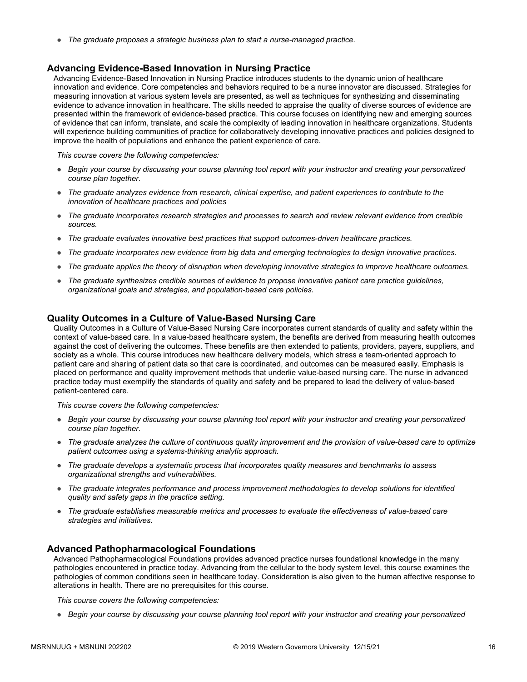● *The graduate proposes a strategic business plan to start a nurse-managed practice.*

#### **Advancing Evidence-Based Innovation in Nursing Practice**

Advancing Evidence-Based Innovation in Nursing Practice introduces students to the dynamic union of healthcare innovation and evidence. Core competencies and behaviors required to be a nurse innovator are discussed. Strategies for measuring innovation at various system levels are presented, as well as techniques for synthesizing and disseminating evidence to advance innovation in healthcare. The skills needed to appraise the quality of diverse sources of evidence are presented within the framework of evidence-based practice. This course focuses on identifying new and emerging sources of evidence that can inform, translate, and scale the complexity of leading innovation in healthcare organizations. Students will experience building communities of practice for collaboratively developing innovative practices and policies designed to improve the health of populations and enhance the patient experience of care.

*This course covers the following competencies:*

- *Begin your course by discussing your course planning tool report with your instructor and creating your personalized course plan together.*
- *The graduate analyzes evidence from research, clinical expertise, and patient experiences to contribute to the innovation of healthcare practices and policies*
- *The graduate incorporates research strategies and processes to search and review relevant evidence from credible sources.*
- *The graduate evaluates innovative best practices that support outcomes-driven healthcare practices.*
- *The graduate incorporates new evidence from big data and emerging technologies to design innovative practices.*
- *The graduate applies the theory of disruption when developing innovative strategies to improve healthcare outcomes.*
- *The graduate synthesizes credible sources of evidence to propose innovative patient care practice guidelines, organizational goals and strategies, and population-based care policies.*

#### **Quality Outcomes in a Culture of Value-Based Nursing Care**

Quality Outcomes in a Culture of Value-Based Nursing Care incorporates current standards of quality and safety within the context of value-based care. In a value-based healthcare system, the benefits are derived from measuring health outcomes against the cost of delivering the outcomes. These benefits are then extended to patients, providers, payers, suppliers, and society as a whole. This course introduces new healthcare delivery models, which stress a team-oriented approach to patient care and sharing of patient data so that care is coordinated, and outcomes can be measured easily. Emphasis is placed on performance and quality improvement methods that underlie value-based nursing care. The nurse in advanced practice today must exemplify the standards of quality and safety and be prepared to lead the delivery of value-based patient-centered care.

*This course covers the following competencies:*

- *Begin your course by discussing your course planning tool report with your instructor and creating your personalized course plan together.*
- *The graduate analyzes the culture of continuous quality improvement and the provision of value-based care to optimize patient outcomes using a systems-thinking analytic approach.*
- *The graduate develops a systematic process that incorporates quality measures and benchmarks to assess organizational strengths and vulnerabilities.*
- *The graduate integrates performance and process improvement methodologies to develop solutions for identified quality and safety gaps in the practice setting.*
- *The graduate establishes measurable metrics and processes to evaluate the effectiveness of value-based care strategies and initiatives.*

#### **Advanced Pathopharmacological Foundations**

Advanced Pathopharmacological Foundations provides advanced practice nurses foundational knowledge in the many pathologies encountered in practice today. Advancing from the cellular to the body system level, this course examines the pathologies of common conditions seen in healthcare today. Consideration is also given to the human affective response to alterations in health. There are no prerequisites for this course.

*This course covers the following competencies:*

● *Begin your course by discussing your course planning tool report with your instructor and creating your personalized*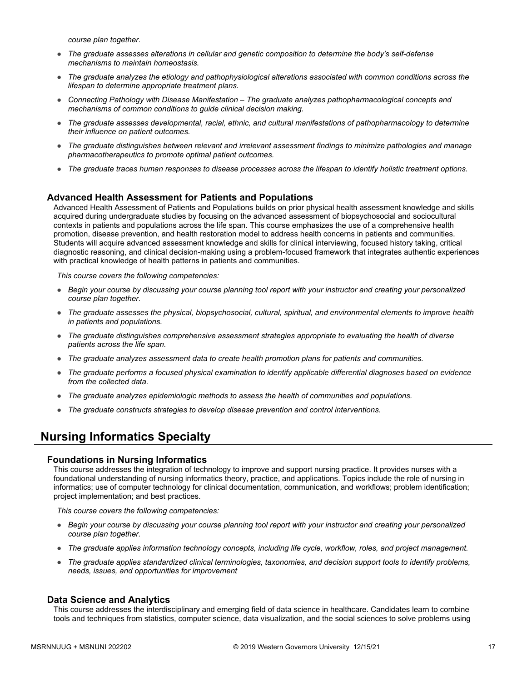*course plan together.*

- *The graduate assesses alterations in cellular and genetic composition to determine the body's self-defense mechanisms to maintain homeostasis.*
- *The graduate analyzes the etiology and pathophysiological alterations associated with common conditions across the lifespan to determine appropriate treatment plans.*
- *Connecting Pathology with Disease Manifestation The graduate analyzes pathopharmacological concepts and mechanisms of common conditions to guide clinical decision making.*
- *The graduate assesses developmental, racial, ethnic, and cultural manifestations of pathopharmacology to determine their influence on patient outcomes.*
- *The graduate distinguishes between relevant and irrelevant assessment findings to minimize pathologies and manage pharmacotherapeutics to promote optimal patient outcomes.*
- *The graduate traces human responses to disease processes across the lifespan to identify holistic treatment options.*

#### **Advanced Health Assessment for Patients and Populations**

Advanced Health Assessment of Patients and Populations builds on prior physical health assessment knowledge and skills acquired during undergraduate studies by focusing on the advanced assessment of biopsychosocial and sociocultural contexts in patients and populations across the life span. This course emphasizes the use of a comprehensive health promotion, disease prevention, and health restoration model to address health concerns in patients and communities. Students will acquire advanced assessment knowledge and skills for clinical interviewing, focused history taking, critical diagnostic reasoning, and clinical decision-making using a problem-focused framework that integrates authentic experiences with practical knowledge of health patterns in patients and communities.

*This course covers the following competencies:*

- *Begin your course by discussing your course planning tool report with your instructor and creating your personalized course plan together.*
- *The graduate assesses the physical, biopsychosocial, cultural, spiritual, and environmental elements to improve health in patients and populations.*
- *The graduate distinguishes comprehensive assessment strategies appropriate to evaluating the health of diverse patients across the life span.*
- *The graduate analyzes assessment data to create health promotion plans for patients and communities.*
- *The graduate performs a focused physical examination to identify applicable differential diagnoses based on evidence from the collected data.*
- *The graduate analyzes epidemiologic methods to assess the health of communities and populations.*
- *The graduate constructs strategies to develop disease prevention and control interventions.*

# **Nursing Informatics Specialty**

#### **Foundations in Nursing Informatics**

This course addresses the integration of technology to improve and support nursing practice. It provides nurses with a foundational understanding of nursing informatics theory, practice, and applications. Topics include the role of nursing in informatics; use of computer technology for clinical documentation, communication, and workflows; problem identification; project implementation; and best practices.

*This course covers the following competencies:*

- *Begin your course by discussing your course planning tool report with your instructor and creating your personalized course plan together.*
- *The graduate applies information technology concepts, including life cycle, workflow, roles, and project management.*
- *The graduate applies standardized clinical terminologies, taxonomies, and decision support tools to identify problems, needs, issues, and opportunities for improvement*

#### **Data Science and Analytics**

This course addresses the interdisciplinary and emerging field of data science in healthcare. Candidates learn to combine tools and techniques from statistics, computer science, data visualization, and the social sciences to solve problems using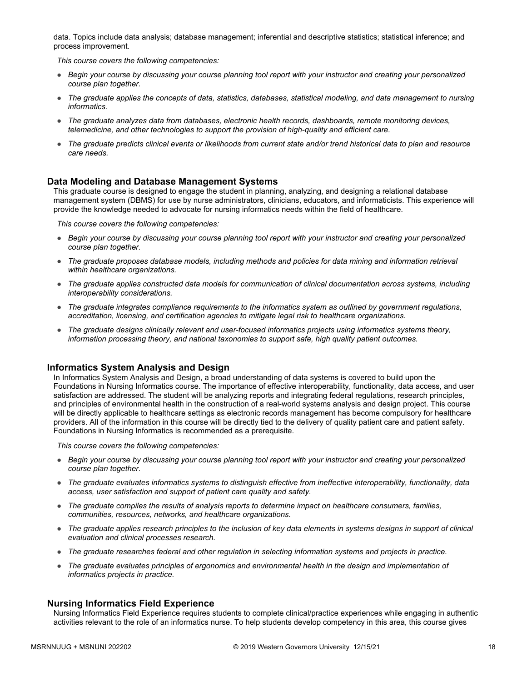data. Topics include data analysis; database management; inferential and descriptive statistics; statistical inference; and process improvement.

*This course covers the following competencies:*

- *Begin your course by discussing your course planning tool report with your instructor and creating your personalized course plan together.*
- *The graduate applies the concepts of data, statistics, databases, statistical modeling, and data management to nursing informatics.*
- *The graduate analyzes data from databases, electronic health records, dashboards, remote monitoring devices, telemedicine, and other technologies to support the provision of high-quality and efficient care.*
- *The graduate predicts clinical events or likelihoods from current state and/or trend historical data to plan and resource care needs.*

### **Data Modeling and Database Management Systems**

This graduate course is designed to engage the student in planning, analyzing, and designing a relational database management system (DBMS) for use by nurse administrators, clinicians, educators, and informaticists. This experience will provide the knowledge needed to advocate for nursing informatics needs within the field of healthcare.

*This course covers the following competencies:*

- *Begin your course by discussing your course planning tool report with your instructor and creating your personalized course plan together.*
- *The graduate proposes database models, including methods and policies for data mining and information retrieval within healthcare organizations.*
- *The graduate applies constructed data models for communication of clinical documentation across systems, including interoperability considerations.*
- *The graduate integrates compliance requirements to the informatics system as outlined by government regulations, accreditation, licensing, and certification agencies to mitigate legal risk to healthcare organizations.*
- *The graduate designs clinically relevant and user-focused informatics projects using informatics systems theory, information processing theory, and national taxonomies to support safe, high quality patient outcomes.*

### **Informatics System Analysis and Design**

In Informatics System Analysis and Design, a broad understanding of data systems is covered to build upon the Foundations in Nursing Informatics course. The importance of effective interoperability, functionality, data access, and user satisfaction are addressed. The student will be analyzing reports and integrating federal regulations, research principles, and principles of environmental health in the construction of a real-world systems analysis and design project. This course will be directly applicable to healthcare settings as electronic records management has become compulsory for healthcare providers. All of the information in this course will be directly tied to the delivery of quality patient care and patient safety. Foundations in Nursing Informatics is recommended as a prerequisite.

*This course covers the following competencies:*

- *Begin your course by discussing your course planning tool report with your instructor and creating your personalized course plan together.*
- *The graduate evaluates informatics systems to distinguish effective from ineffective interoperability, functionality, data access, user satisfaction and support of patient care quality and safety.*
- *The graduate compiles the results of analysis reports to determine impact on healthcare consumers, families, communities, resources, networks, and healthcare organizations.*
- *The graduate applies research principles to the inclusion of key data elements in systems designs in support of clinical evaluation and clinical processes research.*
- *The graduate researches federal and other regulation in selecting information systems and projects in practice.*
- *The graduate evaluates principles of ergonomics and environmental health in the design and implementation of informatics projects in practice.*

### **Nursing Informatics Field Experience**

Nursing Informatics Field Experience requires students to complete clinical/practice experiences while engaging in authentic activities relevant to the role of an informatics nurse. To help students develop competency in this area, this course gives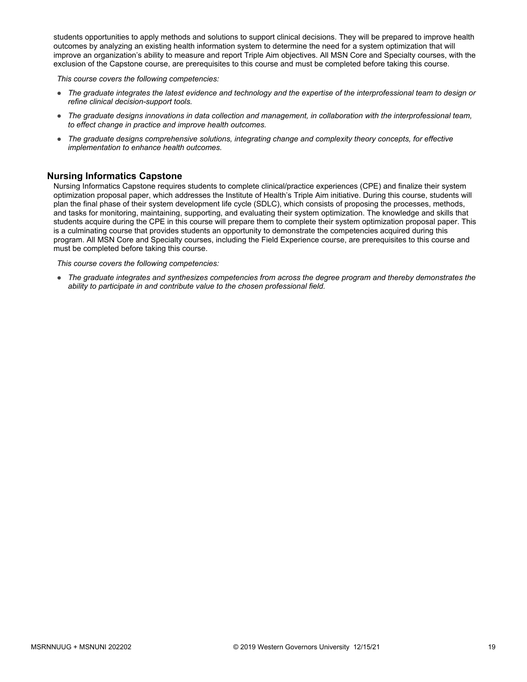students opportunities to apply methods and solutions to support clinical decisions. They will be prepared to improve health outcomes by analyzing an existing health information system to determine the need for a system optimization that will improve an organization's ability to measure and report Triple Aim objectives. All MSN Core and Specialty courses, with the exclusion of the Capstone course, are prerequisites to this course and must be completed before taking this course.

*This course covers the following competencies:*

- *The graduate integrates the latest evidence and technology and the expertise of the interprofessional team to design or refine clinical decision-support tools.*
- *The graduate designs innovations in data collection and management, in collaboration with the interprofessional team, to effect change in practice and improve health outcomes.*
- *The graduate designs comprehensive solutions, integrating change and complexity theory concepts, for effective implementation to enhance health outcomes.*

## **Nursing Informatics Capstone**

Nursing Informatics Capstone requires students to complete clinical/practice experiences (CPE) and finalize their system optimization proposal paper, which addresses the Institute of Health's Triple Aim initiative. During this course, students will plan the final phase of their system development life cycle (SDLC), which consists of proposing the processes, methods, and tasks for monitoring, maintaining, supporting, and evaluating their system optimization. The knowledge and skills that students acquire during the CPE in this course will prepare them to complete their system optimization proposal paper. This is a culminating course that provides students an opportunity to demonstrate the competencies acquired during this program. All MSN Core and Specialty courses, including the Field Experience course, are prerequisites to this course and must be completed before taking this course.

*This course covers the following competencies:*

● *The graduate integrates and synthesizes competencies from across the degree program and thereby demonstrates the ability to participate in and contribute value to the chosen professional field.*